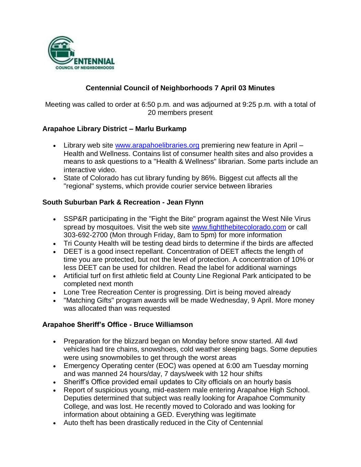

# **Centennial Council of Neighborhoods 7 April 03 Minutes**

Meeting was called to order at 6:50 p.m. and was adjourned at 9:25 p.m. with a total of 20 members present

#### **Arapahoe Library District – Marlu Burkamp**

- Library web site [www.arapahoelibraries.org](http://www.arapahoelibraries.org/) premiering new feature in April Health and Wellness. Contains list of consumer health sites and also provides a means to ask questions to a "Health & Wellness" librarian. Some parts include an interactive video.
- State of Colorado has cut library funding by 86%. Biggest cut affects all the "regional" systems, which provide courier service between libraries

#### **South Suburban Park & Recreation - Jean Flynn**

- SSP&R participating in the "Fight the Bite" program against the West Nile Virus spread by mosquitoes. Visit the web site [www.fightthebitecolorado.com](http://www.fightthebitecolorado.com/) or call 303-692-2700 (Mon through Friday, 8am to 5pm) for more information
- Tri County Health will be testing dead birds to determine if the birds are affected
- DEET is a good insect repellant. Concentration of DEET affects the length of time you are protected, but not the level of protection. A concentration of 10% or less DEET can be used for children. Read the label for additional warnings
- Artificial turf on first athletic field at County Line Regional Park anticipated to be completed next month
- Lone Tree Recreation Center is progressing. Dirt is being moved already
- "Matching Gifts" program awards will be made Wednesday, 9 April. More money was allocated than was requested

#### **Arapahoe Sheriff's Office - Bruce Williamson**

- Preparation for the blizzard began on Monday before snow started. All 4wd vehicles had tire chains, snowshoes, cold weather sleeping bags. Some deputies were using snowmobiles to get through the worst areas
- Emergency Operating center (EOC) was opened at 6:00 am Tuesday morning and was manned 24 hours/day, 7 days/week with 12 hour shifts
- Sheriff's Office provided email updates to City officials on an hourly basis
- Report of suspicious young, mid-eastern male entering Arapahoe High School. Deputies determined that subject was really looking for Arapahoe Community College, and was lost. He recently moved to Colorado and was looking for information about obtaining a GED. Everything was legitimate
- Auto theft has been drastically reduced in the City of Centennial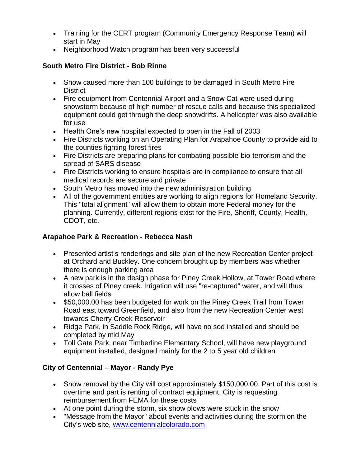- Training for the CERT program (Community Emergency Response Team) will start in May
- Neighborhood Watch program has been very successful

# **South Metro Fire District - Bob Rinne**

- Snow caused more than 100 buildings to be damaged in South Metro Fire **District**
- Fire equipment from Centennial Airport and a Snow Cat were used during snowstorm because of high number of rescue calls and because this specialized equipment could get through the deep snowdrifts. A helicopter was also available for use
- Health One's new hospital expected to open in the Fall of 2003
- Fire Districts working on an Operating Plan for Arapahoe County to provide aid to the counties fighting forest fires
- Fire Districts are preparing plans for combating possible bio-terrorism and the spread of SARS disease
- Fire Districts working to ensure hospitals are in compliance to ensure that all medical records are secure and private
- South Metro has moved into the new administration building
- All of the government entities are working to align regions for Homeland Security. This "total alignment" will allow them to obtain more Federal money for the planning. Currently, different regions exist for the Fire, Sheriff, County, Health, CDOT, etc.

# **Arapahoe Park & Recreation - Rebecca Nash**

- Presented artist's renderings and site plan of the new Recreation Center project at Orchard and Buckley. One concern brought up by members was whether there is enough parking area
- A new park is in the design phase for Piney Creek Hollow, at Tower Road where it crosses of Piney creek. Irrigation will use "re-captured" water, and will thus allow ball fields
- \$50,000.00 has been budgeted for work on the Piney Creek Trail from Tower Road east toward Greenfield, and also from the new Recreation Center west towards Cherry Creek Reservoir
- Ridge Park, in Saddle Rock Ridge, will have no sod installed and should be completed by mid May
- Toll Gate Park, near Timberline Elementary School, will have new playground equipment installed, designed mainly for the 2 to 5 year old children

# **City of Centennial – Mayor - Randy Pye**

- Snow removal by the City will cost approximately \$150,000.00. Part of this cost is overtime and part is renting of contract equipment. City is requesting reimbursement from FEMA for these costs
- At one point during the storm, six snow plows were stuck in the snow
- "Message from the Mayor" about events and activities during the storm on the City's web site, [www.centennialcolorado.com](http://www.centennialcolorado.com/)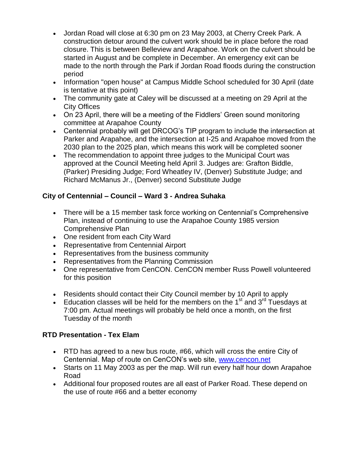- Jordan Road will close at 6:30 pm on 23 May 2003, at Cherry Creek Park. A construction detour around the culvert work should be in place before the road closure. This is between Belleview and Arapahoe. Work on the culvert should be started in August and be complete in December. An emergency exit can be made to the north through the Park if Jordan Road floods during the construction period
- Information "open house" at Campus Middle School scheduled for 30 April (date is tentative at this point)
- The community gate at Caley will be discussed at a meeting on 29 April at the City Offices
- On 23 April, there will be a meeting of the Fiddlers' Green sound monitoring committee at Arapahoe County
- Centennial probably will get DRCOG's TIP program to include the intersection at Parker and Arapahoe, and the intersection at I-25 and Arapahoe moved from the 2030 plan to the 2025 plan, which means this work will be completed sooner
- The recommendation to appoint three judges to the Municipal Court was approved at the Council Meeting held April 3. Judges are: Grafton Biddle, (Parker) Presiding Judge; Ford Wheatley IV, (Denver) Substitute Judge; and Richard McManus Jr., (Denver) second Substitute Judge

## **City of Centennial – Council – Ward 3 - Andrea Suhaka**

- There will be a 15 member task force working on Centennial's Comprehensive Plan, instead of continuing to use the Arapahoe County 1985 version Comprehensive Plan
- One resident from each City Ward
- Representative from Centennial Airport
- Representatives from the business community
- Representatives from the Planning Commission
- One representative from CenCON. CenCON member Russ Powell volunteered for this position
- Residents should contact their City Council member by 10 April to apply
- Education classes will be held for the members on the  $1<sup>st</sup>$  and  $3<sup>rd</sup>$  Tuesdays at 7:00 pm. Actual meetings will probably be held once a month, on the first Tuesday of the month

## **RTD Presentation - Tex Elam**

- RTD has agreed to a new bus route, #66, which will cross the entire City of Centennial. Map of route on CenCON's web site, [www.cencon.net](http://www.cencon.net/)
- Starts on 11 May 2003 as per the map. Will run every half hour down Arapahoe Road
- Additional four proposed routes are all east of Parker Road. These depend on the use of route #66 and a better economy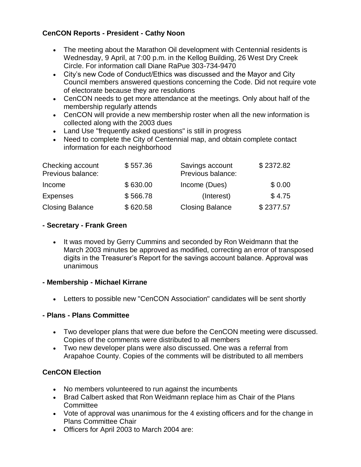# **CenCON Reports - President - Cathy Noon**

- The meeting about the Marathon Oil development with Centennial residents is Wednesday, 9 April, at 7:00 p.m. in the Kellog Building, 26 West Dry Creek Circle. For information call Diane RaPue 303-734-9470
- City's new Code of Conduct/Ethics was discussed and the Mayor and City Council members answered questions concerning the Code. Did not require vote of electorate because they are resolutions
- CenCON needs to get more attendance at the meetings. Only about half of the membership regularly attends
- CenCON will provide a new membership roster when all the new information is collected along with the 2003 dues
- Land Use "frequently asked questions" is still in progress
- Need to complete the City of Centennial map, and obtain complete contact information for each neighborhood

| Checking account<br>Previous balance: | \$557.36 | Savings account<br>Previous balance: | \$2372.82 |
|---------------------------------------|----------|--------------------------------------|-----------|
| Income                                | \$630.00 | Income (Dues)                        | \$0.00    |
| <b>Expenses</b>                       | \$566.78 | (Interest)                           | \$4.75    |
| <b>Closing Balance</b>                | \$620.58 | <b>Closing Balance</b>               | \$2377.57 |

#### **- Secretary - Frank Green**

• It was moved by Gerry Cummins and seconded by Ron Weidmann that the March 2003 minutes be approved as modified, correcting an error of transposed digits in the Treasurer's Report for the savings account balance. Approval was unanimous

## **- Membership - Michael Kirrane**

Letters to possible new "CenCON Association" candidates will be sent shortly

## **- Plans - Plans Committee**

- Two developer plans that were due before the CenCON meeting were discussed. Copies of the comments were distributed to all members
- Two new developer plans were also discussed. One was a referral from Arapahoe County. Copies of the comments will be distributed to all members

## **CenCON Election**

- No members volunteered to run against the incumbents
- Brad Calbert asked that Ron Weidmann replace him as Chair of the Plans **Committee**
- Vote of approval was unanimous for the 4 existing officers and for the change in Plans Committee Chair
- Officers for April 2003 to March 2004 are: